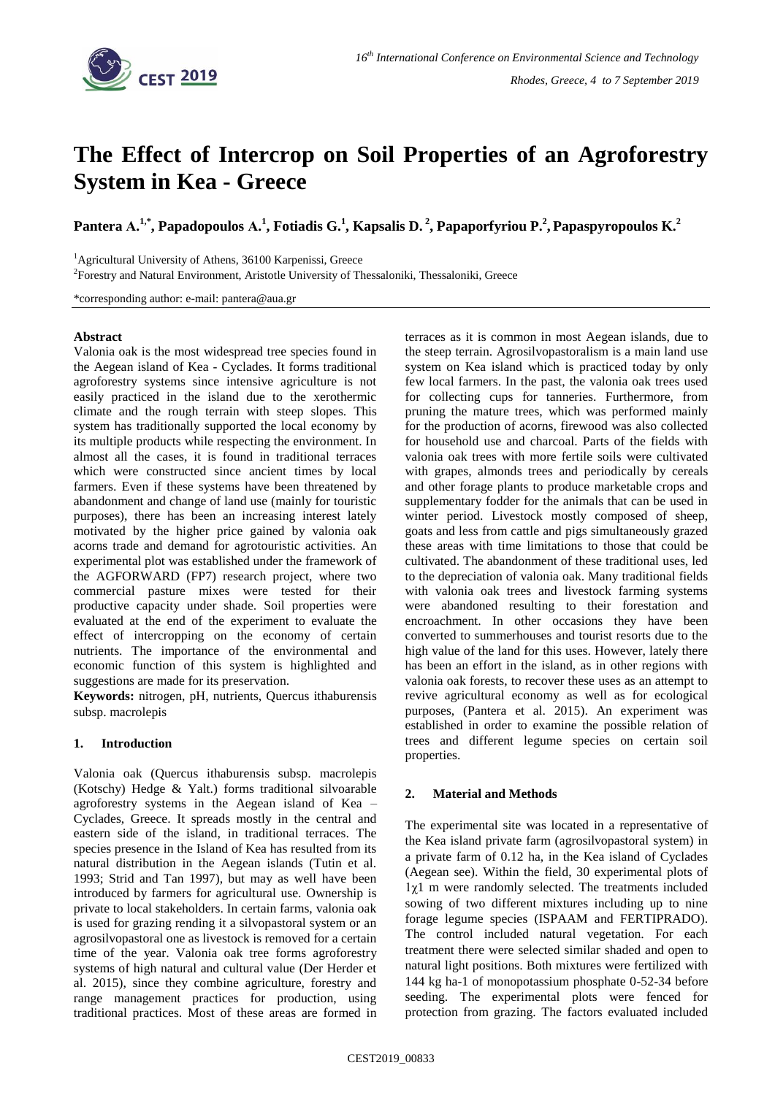

# **The Effect of Intercrop on Soil Properties of an Agroforestry System in Kea - Greece**

**Pantera Α. 1,\* , Papadopoulos Α. 1 , Fotiadis G.<sup>1</sup> , Kapsalis D. <sup>2</sup> , Papaporfyriou P.<sup>2</sup> , Papaspyropoulos K.<sup>2</sup>**

<sup>1</sup>Agricultural University of Athens, 36100 Karpenissi, Greece

<sup>2</sup>Forestry and Natural Environment, Aristotle University of Thessaloniki, Thessaloniki, Greece

\*corresponding author: e-mail: pantera@aua.gr

### **Abstract**

Valonia oak is the most widespread tree species found in the Aegean island of Kea - Cyclades. It forms traditional agroforestry systems since intensive agriculture is not easily practiced in the island due to the xerothermic climate and the rough terrain with steep slopes. This system has traditionally supported the local economy by its multiple products while respecting the environment. In almost all the cases, it is found in traditional terraces which were constructed since ancient times by local farmers. Even if these systems have been threatened by abandonment and change of land use (mainly for touristic purposes), there has been an increasing interest lately motivated by the higher price gained by valonia oak acorns trade and demand for agrotouristic activities. An experimental plot was established under the framework of the AGFORWARD (FP7) research project, where two commercial pasture mixes were tested for their productive capacity under shade. Soil properties were evaluated at the end of the experiment to evaluate the effect of intercropping on the economy of certain nutrients. The importance of the environmental and economic function of this system is highlighted and suggestions are made for its preservation.

**Keywords:** nitrogen, pH, nutrients, Quercus ithaburensis subsp. macrolepis

# **1. Introduction**

Valonia oak (Quercus ithaburensis subsp. macrolepis (Kotschy) Hedge & Yalt.) forms traditional silvoarable agroforestry systems in the Aegean island of Kea – Cyclades, Greece. It spreads mostly in the central and eastern side of the island, in traditional terraces. The species presence in the Island of Kea has resulted from its natural distribution in the Aegean islands (Tutin et al. 1993; Strid and Tan 1997), but may as well have been introduced by farmers for agricultural use. Ownership is private to local stakeholders. In certain farms, valonia oak is used for grazing rending it a silvopastoral system or an agrosilvopastoral one as livestock is removed for a certain time of the year. Valonia oak tree forms agroforestry systems of high natural and cultural value (Der Herder et al. 2015), since they combine agriculture, forestry and range management practices for production, using traditional practices. Most of these areas are formed in

terraces as it is common in most Aegean islands, due to the steep terrain. Agrosilvopastoralism is a main land use system on Kea island which is practiced today by only few local farmers. In the past, the valonia oak trees used for collecting cups for tanneries. Furthermore, from pruning the mature trees, which was performed mainly for the production of acorns, firewood was also collected for household use and charcoal. Parts of the fields with valonia oak trees with more fertile soils were cultivated with grapes, almonds trees and periodically by cereals and other forage plants to produce marketable crops and supplementary fodder for the animals that can be used in winter period. Livestock mostly composed of sheep, goats and less from cattle and pigs simultaneously grazed these areas with time limitations to those that could be cultivated. The abandonment of these traditional uses, led to the depreciation of valonia oak. Many traditional fields with valonia oak trees and livestock farming systems were abandoned resulting to their forestation and encroachment. In other occasions they have been converted to summerhouses and tourist resorts due to the high value of the land for this uses. However, lately there has been an effort in the island, as in other regions with valonia oak forests, to recover these uses as an attempt to revive agricultural economy as well as for ecological purposes, (Pantera et al. 2015). An experiment was established in order to examine the possible relation of trees and different legume species on certain soil properties.

# **2. Material and Methods**

The experimental site was located in a representative of the Kea island private farm (agrosilvopastoral system) in a private farm of 0.12 ha, in the Kea island of Cyclades (Aegean see). Within the field, 30 experimental plots of 1χ1 m were randomly selected. The treatments included sowing of two different mixtures including up to nine forage legume species (ISPAAM and FERTIPRADO). The control included natural vegetation. For each treatment there were selected similar shaded and open to natural light positions. Both mixtures were fertilized with 144 kg ha-1 of monopotassium phosphate 0-52-34 before seeding. The experimental plots were fenced for protection from grazing. The factors evaluated included